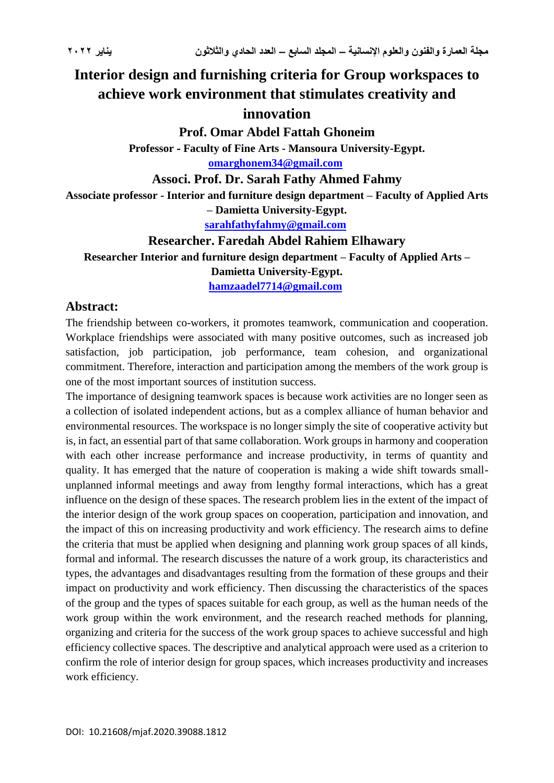## **Interior design and furnishing criteria for Group workspaces to achieve work environment that stimulates creativity and innovation**

**Prof. Omar Abdel Fattah Ghoneim**

**Professor - Faculty of Fine Arts - Mansoura University-Egypt. [omarghonem34@gmail.com](mailto:omarghonem34@gmail.com)**

**Associ. Prof. Dr. Sarah Fathy Ahmed Fahmy**

**Associate professor - Interior and furniture design department – Faculty of Applied Arts** 

**– Damietta University-Egypt.**

**[sarahfathyfahmy@gmail.com](mailto:sarahfathyfahmy@gmail.com)**

**Researcher. Faredah Abdel Rahiem Elhawary**

**Researcher Interior and furniture design department – Faculty of Applied Arts –**

**Damietta University-Egypt.**

**[hamzaadel7714@gmail.com](mailto:hamzaadel7714@gmail.com)**

## **Abstract:**

The friendship between co-workers, it promotes teamwork, communication and cooperation. Workplace friendships were associated with many positive outcomes, such as increased job satisfaction, job participation, job performance, team cohesion, and organizational commitment. Therefore, interaction and participation among the members of the work group is one of the most important sources of institution success.

The importance of designing teamwork spaces is because work activities are no longer seen as a collection of isolated independent actions, but as a complex alliance of human behavior and environmental resources. The workspace is no longer simply the site of cooperative activity but is, in fact, an essential part of that same collaboration. Work groups in harmony and cooperation with each other increase performance and increase productivity, in terms of quantity and quality. It has emerged that the nature of cooperation is making a wide shift towards smallunplanned informal meetings and away from lengthy formal interactions, which has a great influence on the design of these spaces. The research problem lies in the extent of the impact of the interior design of the work group spaces on cooperation, participation and innovation, and the impact of this on increasing productivity and work efficiency. The research aims to define the criteria that must be applied when designing and planning work group spaces of all kinds, formal and informal. The research discusses the nature of a work group, its characteristics and types, the advantages and disadvantages resulting from the formation of these groups and their impact on productivity and work efficiency. Then discussing the characteristics of the spaces of the group and the types of spaces suitable for each group, as well as the human needs of the work group within the work environment, and the research reached methods for planning, organizing and criteria for the success of the work group spaces to achieve successful and high efficiency collective spaces. The descriptive and analytical approach were used as a criterion to confirm the role of interior design for group spaces, which increases productivity and increases work efficiency.